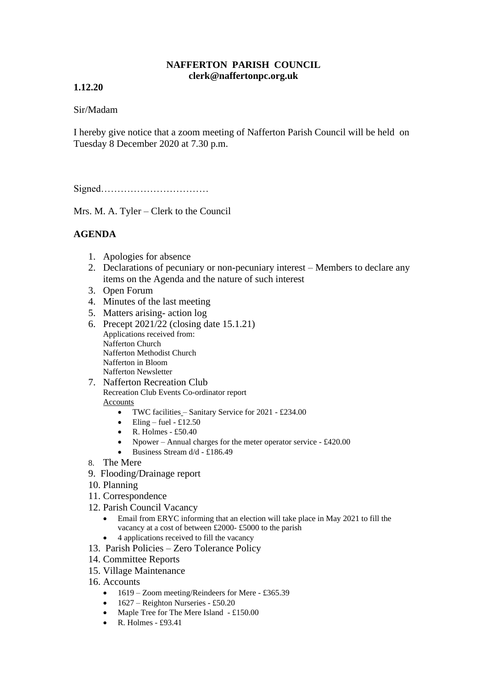#### **NAFFERTON PARISH COUNCIL clerk@naffertonpc.org.uk**

## **1.12.20**

## Sir/Madam

I hereby give notice that a zoom meeting of Nafferton Parish Council will be held on Tuesday 8 December 2020 at 7.30 p.m.

Signed……………………………

Mrs. M. A. Tyler – Clerk to the Council

# **AGENDA**

- 1. Apologies for absence
- 2. Declarations of pecuniary or non-pecuniary interest Members to declare any items on the Agenda and the nature of such interest
- 3. Open Forum
- 4. Minutes of the last meeting
- 5. Matters arising- action log
- 6. Precept 2021/22 (closing date 15.1.21) Applications received from: Nafferton Church Nafferton Methodist Church Nafferton in Bloom Nafferton Newsletter
- 7. Nafferton Recreation Club Recreation Club Events Co-ordinator report Accounts
	- TWC facilities Sanitary Service for 2021 £234.00
	- Eling fuel £12.50
	- R. Holmes £50.40
	- Npower Annual charges for the meter operator service £420.00
	- Business Stream d/d £186.49
- 8. The Mere
- 9. Flooding/Drainage report
- 10. Planning
- 11. Correspondence
- 12. Parish Council Vacancy
	- Email from ERYC informing that an election will take place in May 2021 to fill the vacancy at a cost of between £2000- £5000 to the parish
	- 4 applications received to fill the vacancy
- 13. Parish Policies Zero Tolerance Policy
- 14. Committee Reports
- 15. Village Maintenance
- 16. Accounts
	- 1619 Zoom meeting/Reindeers for Mere £365.39
	- 1627 Reighton Nurseries £50.20
	- Maple Tree for The Mere Island £150.00
	- R. Holmes  $£93.41$